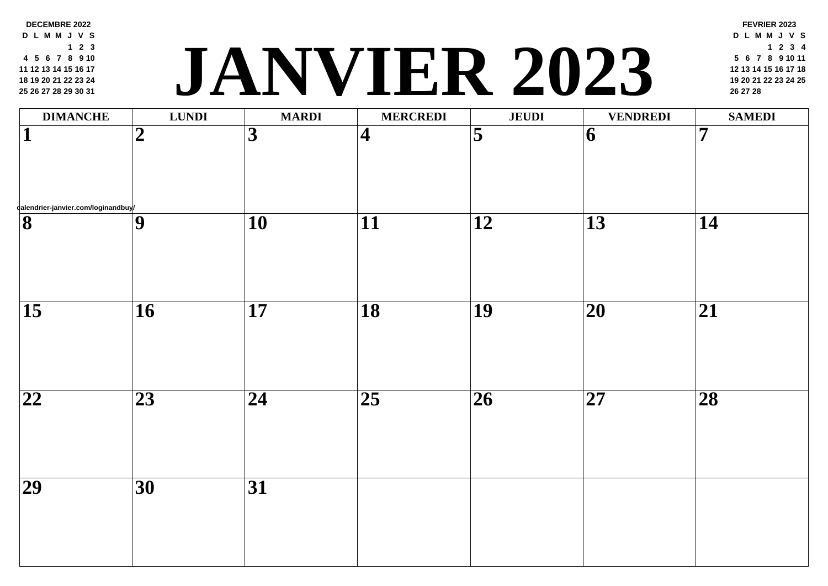| $1 \quad 2 \quad 3$<br>4 5 6 7 8 9 10<br>11 12 13 14 15 16 17<br>18 19 20 21 22 23 24<br>25 26 27 28 29 30 31 |                  |                 |                         | <b>TER 202</b>      |                          |
|---------------------------------------------------------------------------------------------------------------|------------------|-----------------|-------------------------|---------------------|--------------------------|
| <b>DIMANCHE</b>                                                                                               | <b>LUNDI</b>     | <b>MARDI</b>    | <b>MERCREDI</b>         | <b>JEUDI</b>        |                          |
| $\mathbf{1}$                                                                                                  | $\boldsymbol{2}$ | $\overline{3}$  | $\overline{\mathbf{4}}$ | $\overline{\bf{5}}$ | 6                        |
| dalendrier-janvier.com/loginandbuy/                                                                           |                  |                 |                         |                     |                          |
| $\overline{\mathbf{8}}$                                                                                       | $\overline{9}$   | $\overline{10}$ | $\overline{11}$         | $\overline{12}$     | 13                       |
| $\overline{15}$                                                                                               | $\overline{16}$  | $\overline{17}$ | $\overline{18}$         | $\overline{19}$     | $\overline{20}$          |
| $\overline{22}$                                                                                               | $\overline{23}$  | 24              | $\overline{25}$         | $\overline{26}$     | $\overline{\mathbf{27}}$ |
| $\overline{29}$                                                                                               | $\overline{30}$  | $\overline{31}$ |                         |                     |                          |

**DECEMBRE 2022 D L M M J V S**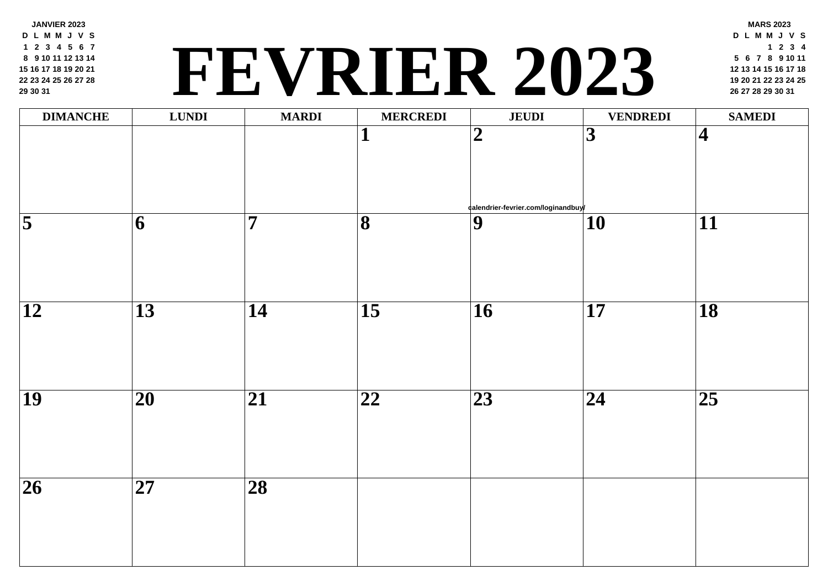| 1 2 3 4 5 6 7<br>8 9 10 11 12 13 14<br>15 16 17 18 19 20 21<br>22 23 24 25 26 27 28<br>29 30 31 |                 |                 | FEVRIER 202             |                                    |                         |
|-------------------------------------------------------------------------------------------------|-----------------|-----------------|-------------------------|------------------------------------|-------------------------|
| <b>DIMANCHE</b>                                                                                 | <b>LUNDI</b>    | <b>MARDI</b>    | <b>MERCREDI</b>         | <b>JEUDI</b>                       |                         |
|                                                                                                 |                 |                 | ┸                       | $\boldsymbol{2}$                   | $\overline{\mathbf{3}}$ |
|                                                                                                 |                 |                 |                         | ¢alendrier-fevrier.com/loginandbuy |                         |
| $\overline{\mathbf{5}}$                                                                         | 6               | 7               | $\overline{\mathbf{8}}$ | $\boldsymbol{9}$                   | 10                      |
| 12                                                                                              | 13              | 14              | $\overline{15}$         | 16                                 | 17                      |
| $\overline{19}$                                                                                 | 20              | 21              | 22                      | 23                                 | $\overline{24}$         |
| $\overline{26}$                                                                                 | $\overline{27}$ | $\overline{28}$ |                         |                                    |                         |

**JANVIER 2023 D L M M J V S 2 3 4 5 6 7 9 10 11 12 13 14 16 17 18 19 20 21 23 24 25 26 27 28**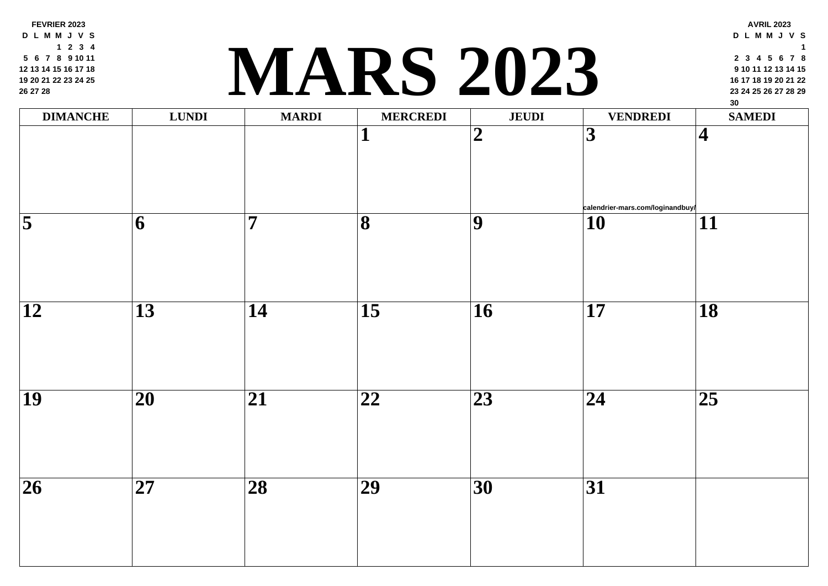**FEVRIER 2023 D L M M J V S 2 3 4 6 7 8 9 10 11 13 14 15 16 17 18 20 21 22 23 24 25 27 28**

# **<sup>23</sup> <sup>24</sup> <sup>25</sup> <sup>26</sup> <sup>27</sup> <sup>28</sup> <sup>29</sup> MARS 2023**

| <b>DIMANCHE</b>     | <b>LUNDI</b>             | <b>MARDI</b>    | <b>MERCREDI</b>         | <b>JEUDI</b>    |                              |
|---------------------|--------------------------|-----------------|-------------------------|-----------------|------------------------------|
|                     |                          |                 | $\overline{\mathbf{1}}$ | $\overline{2}$  | $\overline{\mathbf{3}}$      |
| $\overline{\bf{5}}$ | $\overline{\mathbf{6}}$  | $\overline{7}$  | $\overline{\mathbf{8}}$ | $\overline{9}$  | calen<br>$\overline{\bf 10}$ |
| $\overline{12}$     | $\overline{13}$          | $\overline{14}$ | $\overline{15}$         | $\overline{16}$ | $\overline{17}$              |
| $\overline{19}$     | $\overline{\mathbf{20}}$ | $\overline{21}$ | $\overline{22}$         | $\overline{23}$ | $\overline{24}$              |
| $\overline{26}$     | $\overline{27}$          | $\overline{28}$ | $\overline{29}$         | $\overline{30}$ | $\overline{31}$              |
|                     |                          |                 |                         |                 |                              |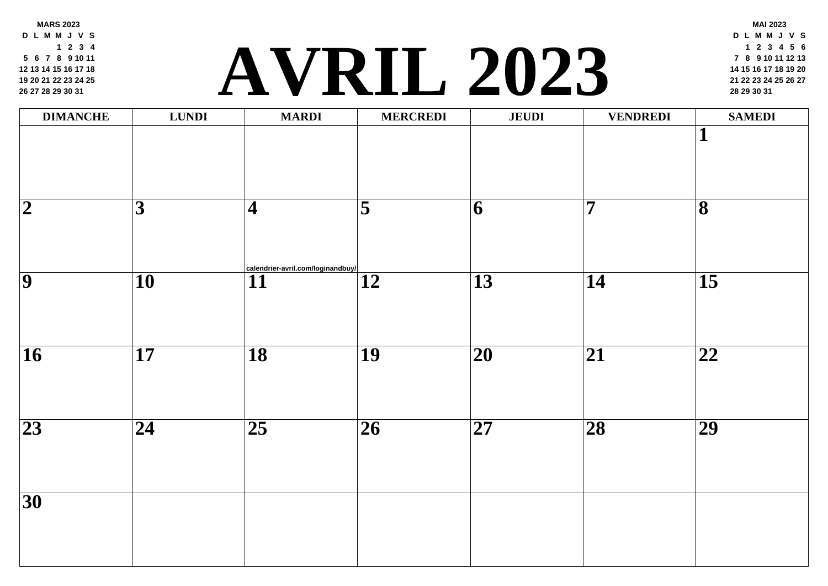**MARS 2023 D L M M J V S 2 3 4 6 7 8 9 10 11 13 14 15 16 17 18 20 21 22 23 24 25 27 28 29 30 31**

# **<sup>21</sup> <sup>22</sup> <sup>23</sup> <sup>24</sup> <sup>25</sup> <sup>26</sup> <sup>27</sup> [AVR](http://calendrier-avril.com/loginandbuy/)IL 2023 <sup>28</sup> <sup>29</sup> <sup>30</sup> <sup>31</sup>**

| <b>DIMANCHE</b>          | <b>LUNDI</b>            | <b>MARDI</b>                                         | <b>MERCREDI</b>     | <b>JEUDI</b>    |                         |
|--------------------------|-------------------------|------------------------------------------------------|---------------------|-----------------|-------------------------|
|                          |                         |                                                      |                     |                 |                         |
| $\overline{\mathbf{2}}$  | $\overline{\mathbf{3}}$ | $\vert\mathbf{4}\vert$                               | $\overline{\bf{5}}$ | 6               | $\overline{\mathbf{7}}$ |
| $\overline{9}$           | $\overline{10}$         | calendrier-avril.com/loginandbuy/<br>$\overline{11}$ | $\overline{12}$     | $\overline{13}$ | $\overline{14}$         |
| $\overline{\mathbf{16}}$ | $\overline{17}$         | $\overline{18}$                                      | $\overline{19}$     | $\overline{20}$ | $\overline{2}$          |
| $\overline{23}$          | $\overline{24}$         | $\overline{25}$                                      | $\overline{26}$     | $\overline{27}$ | 28                      |
| $\overline{30}$          |                         |                                                      |                     |                 |                         |
|                          |                         |                                                      |                     |                 |                         |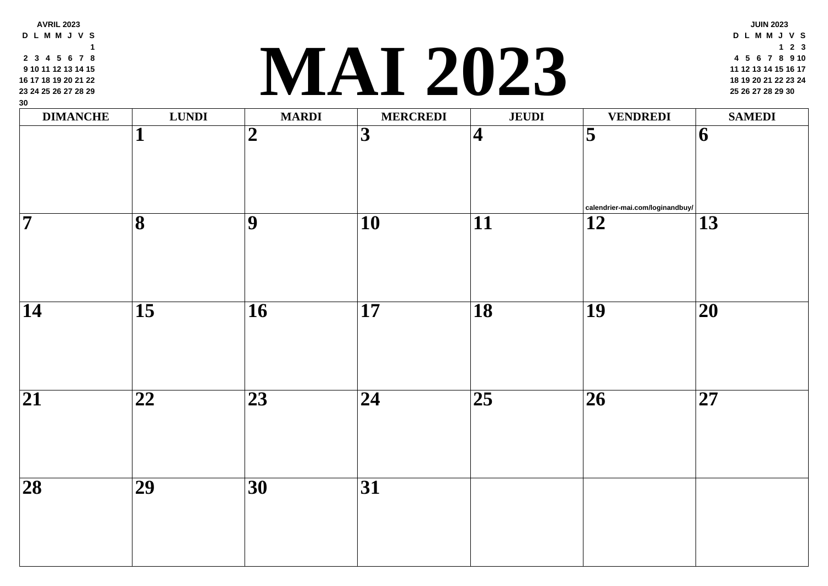| 9 10 11 12 13 14 15<br>16 17 18 19 20 21 22<br>23 24 25 26 27 28 29<br>30 |                         |                 |                         | IVIAI ZUZS              |                     |
|---------------------------------------------------------------------------|-------------------------|-----------------|-------------------------|-------------------------|---------------------|
| <b>DIMANCHE</b>                                                           | <b>LUNDI</b>            | <b>MARDI</b>    | <b>MERCREDI</b>         | <b>JEUDI</b>            |                     |
|                                                                           | ┸                       | $\overline{2}$  | $\overline{\mathbf{3}}$ | $\overline{\mathbf{4}}$ | $\overline{\bf{5}}$ |
|                                                                           |                         |                 |                         |                         | calen               |
| $\overline{\bf 7}$                                                        | $\overline{\mathbf{8}}$ | $\overline{9}$  | $\overline{10}$         | $\overline{11}$         | $\overline{12}$     |
| $\overline{14}$                                                           | $\overline{15}$         | $\overline{16}$ | 17                      | $\overline{18}$         | 19                  |
|                                                                           |                         |                 |                         |                         |                     |
| $\overline{21}$                                                           | $\overline{22}$         | $\overline{23}$ | $\overline{24}$         | $\overline{25}$         | $\overline{26}$     |
| $\overline{28}$                                                           | $\overline{29}$         | $\overline{30}$ | $\overline{31}$         |                         |                     |
|                                                                           |                         |                 |                         |                         |                     |

**AVRIL 2023 D L M M J V S 3 4 5 6 7 8**

#### **<sup>18</sup> <sup>19</sup> <sup>20</sup> <sup>21</sup> <sup>22</sup> <sup>23</sup> <sup>24</sup> MAI 2023 <sup>25</sup> <sup>26</sup> <sup>27</sup> <sup>28</sup> <sup>29</sup> <sup>30</sup>**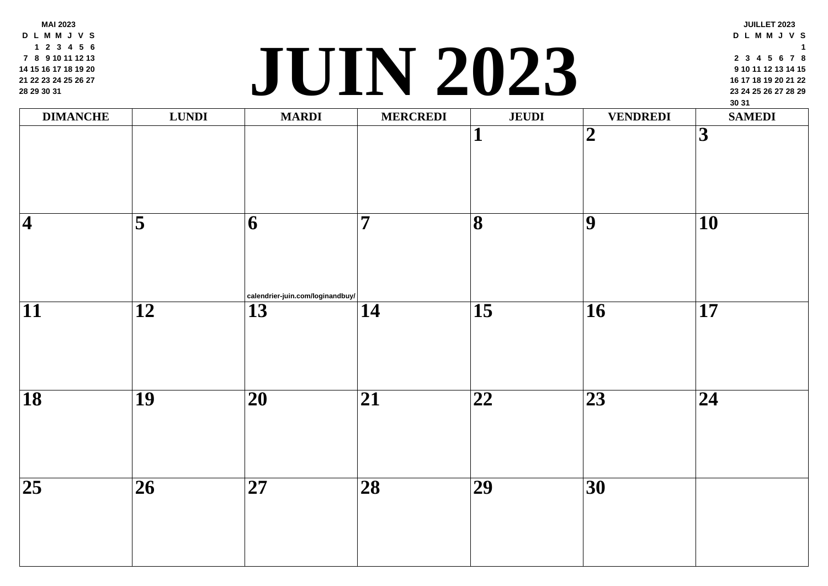**MAI 2023 D L M M J V S 2 3 4 5 6 8 9 10 11 12 13 15 16 17 18 19 20 22 23 24 25 26 27 29 30 31**

## **<sup>23</sup> <sup>24</sup> <sup>25</sup> <sup>26</sup> <sup>27</sup> <sup>28</sup> <sup>29</sup> [JUI](http://calendrier-juin.com/loginandbuy/)N 2023**

| <b>DIMANCHE</b>          | <b>LUNDI</b>        | <b>MARDI</b>                                               | <b>MERCREDI</b> | <b>JEUDI</b>            |                 |
|--------------------------|---------------------|------------------------------------------------------------|-----------------|-------------------------|-----------------|
|                          |                     |                                                            |                 | $\mathbf{1}$            | $\overline{2}$  |
| $\overline{\mathbf{4}}$  | $\overline{\bf{5}}$ | $\overline{6}$<br>$ $ calendrier-juin.com/loginandbuy/ $ $ | $\overline{7}$  | $\overline{\mathbf{8}}$ | $\overline{9}$  |
| $\overline{11}$          | $\overline{12}$     | $\overline{13}$                                            | $\overline{14}$ | $\overline{15}$         | $\overline{16}$ |
| $\overline{\mathbf{18}}$ | $\overline{19}$     | $\overline{20}$                                            | $\overline{21}$ | $\overline{22}$         | $\overline{23}$ |
| $\overline{25}$          | $\overline{26}$     | $\overline{27}$                                            | $\overline{28}$ | $\overline{29}$         | $\overline{30}$ |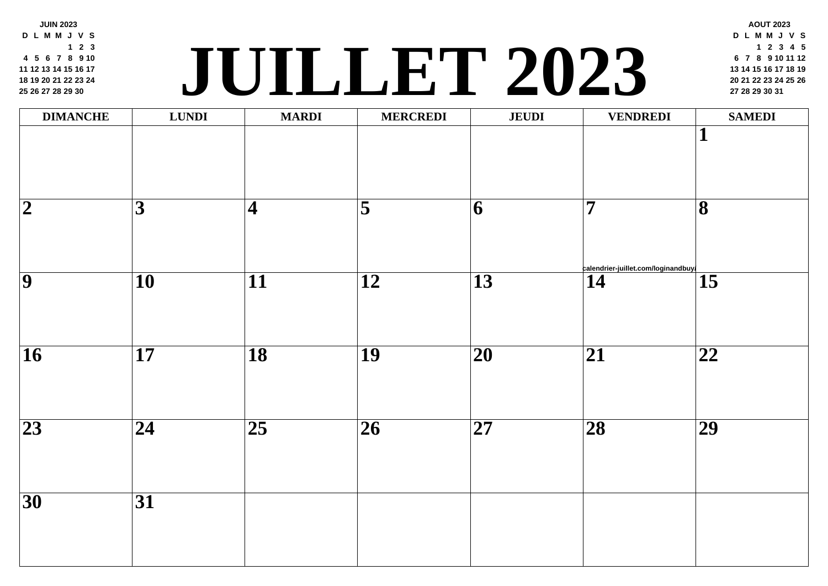| $1 \quad 2 \quad 3$<br>4 5 6 7 8 9 10<br>11 12 13 14 15 16 17<br>18 19 20 21 22 23 24<br>25 26 27 28 29 30 | $\overline{\mathbf{C}}$ |                         | UILLET 202          |                 |                |
|------------------------------------------------------------------------------------------------------------|-------------------------|-------------------------|---------------------|-----------------|----------------|
| <b>DIMANCHE</b>                                                                                            | <b>LUNDI</b>            | <b>MARDI</b>            | <b>MERCREDI</b>     | <b>JEUDI</b>    |                |
| $\overline{2}$                                                                                             | $\overline{\mathbf{3}}$ | $\overline{\mathbf{4}}$ | $\overline{\bf{5}}$ | 6               | $\overline{7}$ |
| $\overline{9}$                                                                                             | $\overline{10}$         | $\overline{11}$         | $\overline{12}$     | $\overline{13}$ | calend<br>14   |
| $\overline{16}$                                                                                            | $\overline{17}$         | $\overline{18}$         | <b>19</b>           | $\overline{20}$ | $\overline{2}$ |
| $\overline{23}$                                                                                            | 24                      | $\overline{25}$         | $\overline{26}$     | $\overline{27}$ | 28             |
| $\overline{30}$                                                                                            | $\overline{31}$         |                         |                     |                 |                |
|                                                                                                            |                         |                         |                     |                 |                |

**JUIN 2023 D L M M J V S**

**2 3**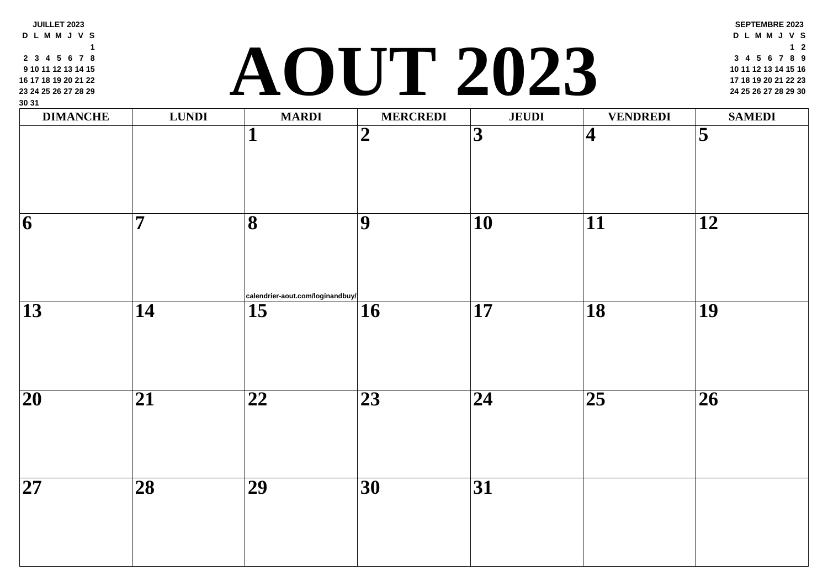| 9 10 11 12 13 14 15<br>16 17 18 19 20 21 22<br>23 24 25 26 27 28 29<br>30 31 |                         | $\overline{\phantom{a}}$         | UU.             | L ZUZJ          |                         |
|------------------------------------------------------------------------------|-------------------------|----------------------------------|-----------------|-----------------|-------------------------|
| <b>DIMANCHE</b>                                                              | <b>LUNDI</b>            | <b>MARDI</b>                     | <b>MERCREDI</b> | <b>JEUDI</b>    |                         |
|                                                                              |                         | 1                                | $\overline{2}$  | $\overline{3}$  | $\overline{\mathbf{4}}$ |
| $\vert 6 \vert$                                                              | $\overline{\mathbf{7}}$ | $\overline{\mathbf{8}}$          | $\overline{9}$  | $\overline{10}$ | 11                      |
|                                                                              |                         | calendrier-aout.com/loginandbuy/ |                 |                 |                         |
| $\overline{13}$                                                              | $\overline{14}$         | $\overline{15}$                  | 16              | $\overline{17}$ | $\overline{18}$         |
| $\overline{20}$                                                              | $\overline{21}$         | $\overline{22}$                  | $\overline{23}$ | $\overline{24}$ | $\overline{25}$         |
| $\overline{27}$                                                              | $\overline{28}$         | $\overline{29}$                  | $\overline{30}$ | $\overline{31}$ |                         |
|                                                                              |                         |                                  |                 |                 |                         |

**D L M M J V S 3 4 5 6 7 8 10 11 12 13 14 15**

**JUILLET 2023**

## **<sup>17</sup> <sup>18</sup> <sup>19</sup> <sup>20</sup> <sup>21</sup> <sup>22</sup> <sup>23</sup> [AOU](http://calendrier-aout.com/loginandbuy/)T 2023 <sup>24</sup> <sup>25</sup> <sup>26</sup> <sup>27</sup> <sup>28</sup> <sup>29</sup> <sup>30</sup>**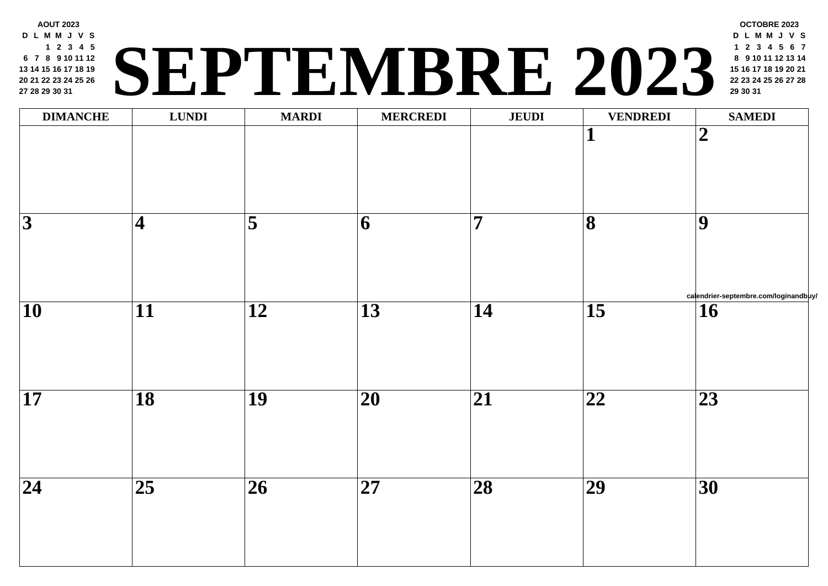| <b>DIMANCHE</b>          | <b>LUNDI</b>    | <b>MARDI</b>        | <b>MERCREDI</b>         | <b>JEUDI</b>    |                         |
|--------------------------|-----------------|---------------------|-------------------------|-----------------|-------------------------|
|                          |                 |                     |                         |                 | $\overline{\mathbf{1}}$ |
|                          |                 |                     |                         |                 |                         |
|                          |                 |                     |                         |                 |                         |
| $\overline{3}$           | $\overline{4}$  | $\overline{\bf{5}}$ | $\overline{\mathbf{6}}$ | $\overline{7}$  | $\overline{\mathbf{8}}$ |
|                          |                 |                     |                         |                 |                         |
|                          |                 |                     |                         |                 |                         |
| $\overline{\mathbf{10}}$ | $\overline{11}$ | $\overline{12}$     | $\overline{13}$         | $\overline{14}$ | $\overline{15}$         |
|                          |                 |                     |                         |                 |                         |
|                          |                 |                     |                         |                 |                         |
| $\overline{\mathbf{17}}$ | $\overline{18}$ | $\overline{19}$     | $\overline{20}$         | $\overline{21}$ | $\overline{22}$         |
|                          |                 |                     |                         |                 |                         |
|                          |                 |                     |                         |                 |                         |
| $\overline{24}$          | $\overline{25}$ | $\overline{26}$     | $\overline{27}$         | $\overline{28}$ | $\overline{29}$         |
|                          |                 |                     |                         |                 |                         |
|                          |                 |                     |                         |                 |                         |

**D L M M J V S 2 3 4 5 7 8 9 10 11 12 14 15 16 17 18 19 21 22 23 24 25 26 28 29 30 31**

#### **AOUT 2023 <sup>22</sup> <sup>23</sup> <sup>24</sup> <sup>25</sup> <sup>26</sup> <sup>27</sup> <sup>28</sup> SEPTEMBRE 202[3](http://calendrier-septembre.com/loginandbuy/) <sup>29</sup> <sup>30</sup> <sup>31</sup>**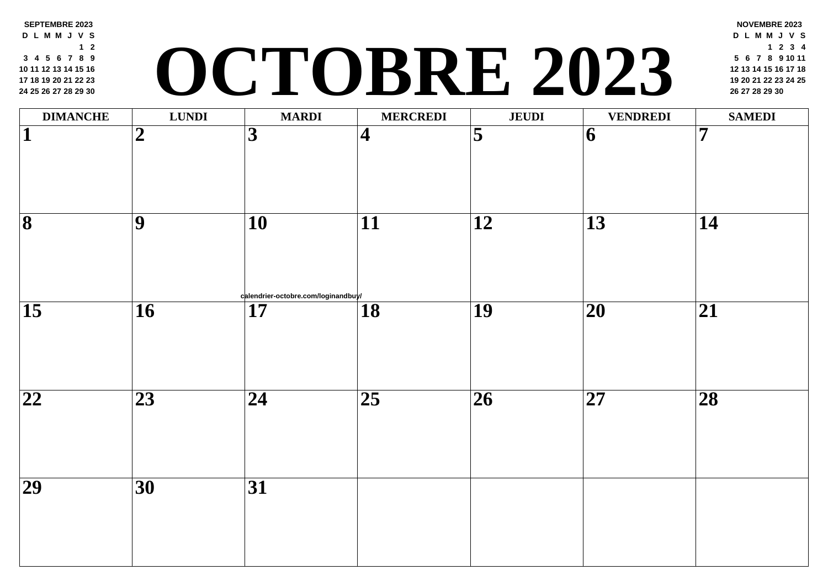| 10 11 12 13 14 15 16<br>17 18 19 20 21 22 23<br>24 25 26 27 28 29 30 |                          |                                           | CTOBKE Z                |                         |                 |
|----------------------------------------------------------------------|--------------------------|-------------------------------------------|-------------------------|-------------------------|-----------------|
| <b>DIMANCHE</b>                                                      | <b>LUNDI</b>             | <b>MARDI</b>                              | <b>MERCREDI</b>         | <b>JEUDI</b>            |                 |
| 1                                                                    | $\overline{2}$           | $\overline{\mathbf{3}}$                   | $\overline{\mathbf{4}}$ | $\overline{\mathbf{5}}$ | 6               |
| $\overline{\mathbf{8}}$                                              | $\vert \mathbf{9} \vert$ | 10                                        | 11                      | $\overline{12}$         | 13              |
| $\overline{15}$                                                      | <b>16</b>                | calendrier-octobre.com/loginandbuy/<br>17 | $\overline{18}$         | 19                      | 20              |
| $\overline{\mathbf{22}}$                                             | 23                       | 24                                        | $\overline{25}$         | 26                      | $\overline{27}$ |
| 29                                                                   | <b>30</b>                | <b>31</b>                                 |                         |                         |                 |

**SEPTEMBRE 2023 D L M M J V S**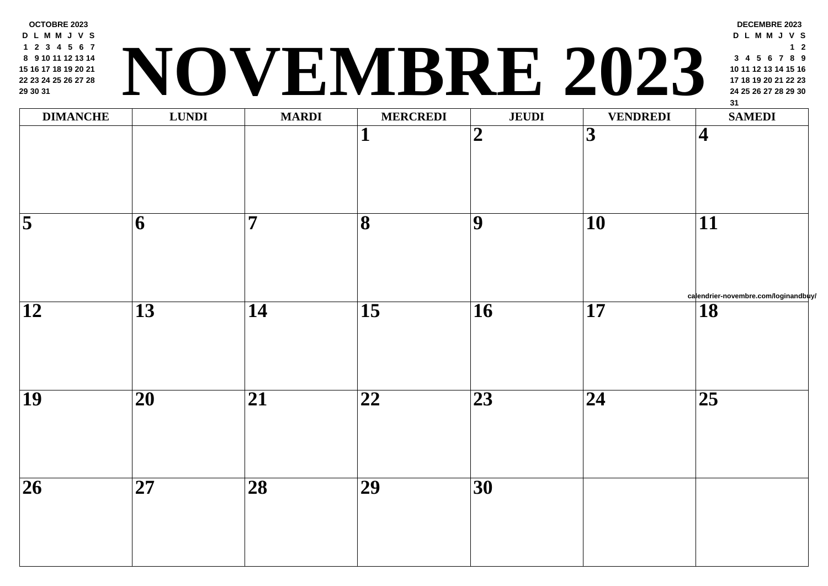|                         | <b>LUNDI</b>    | <b>MARDI</b>    | <b>MERCREDI</b><br>1 | <b>JEUDI</b><br>$\overline{2}$ | $\overline{3}$  |
|-------------------------|-----------------|-----------------|----------------------|--------------------------------|-----------------|
| $\overline{\mathbf{5}}$ | 6               | 7               | $\overline{\bf 8}$   | $\overline{9}$                 | <b>10</b>       |
| 12                      | 13              | 14              | $\overline{15}$      | 16                             | $\overline{17}$ |
| $\overline{19}$         | $\overline{20}$ | $\overline{21}$ | $\overline{22}$      | $\overline{23}$                | $\overline{24}$ |
| $\overline{26}$         | $\overline{27}$ | $\overline{28}$ | $\overline{29}$      | $\overline{30}$                |                 |

**OCTOBRE 2023 D L M M J V S 2 3 4 5 6 7 9 10 11 12 13 14 16 17 18 19 20 21 23 24 25 26 27 28**